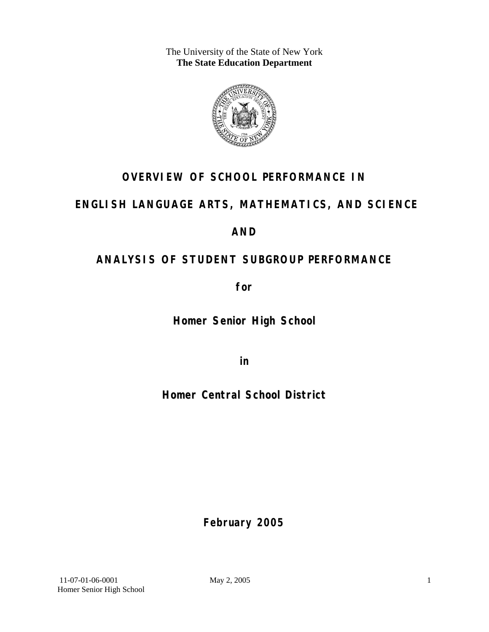The University of the State of New York **The State Education Department** 



# **OVERVIEW OF SCHOOL PERFORMANCE IN**

## **ENGLISH LANGUAGE ARTS, MATHEMATICS, AND SCIENCE**

## **AND**

# **ANALYSIS OF STUDENT SUBGROUP PERFORMANCE**

**for** 

**Homer Senior High School**

**in** 

**Homer Central School District**

**February 2005**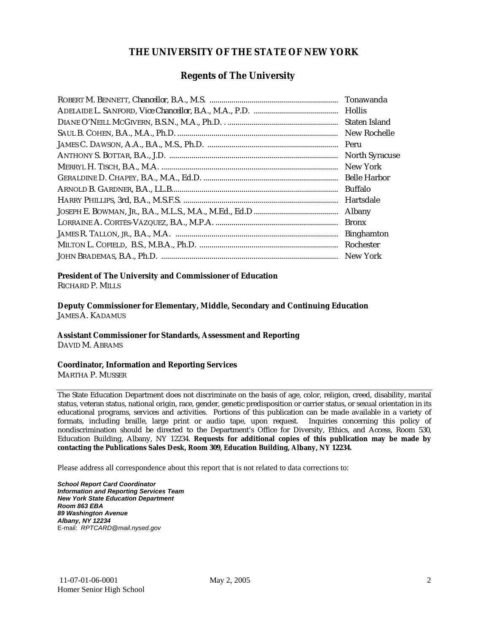### **THE UNIVERSITY OF THE STATE OF NEW YORK**

### **Regents of The University**

| Tonawanda             |
|-----------------------|
|                       |
| Staten Island         |
| New Rochelle          |
| Peru                  |
| <b>North Syracuse</b> |
| New York              |
| <b>Belle Harbor</b>   |
| <b>Buffalo</b>        |
| Hartsdale             |
| Albany                |
| <b>Bronx</b>          |
| <b>Binghamton</b>     |
|                       |
|                       |

### **President of The University and Commissioner of Education**

RICHARD P. MILLS

**Deputy Commissioner for Elementary, Middle, Secondary and Continuing Education**  JAMES A. KADAMUS

#### **Assistant Commissioner for Standards, Assessment and Reporting**  DAVID M. ABRAMS

**Coordinator, Information and Reporting Services** 

MARTHA P. MUSSER

The State Education Department does not discriminate on the basis of age, color, religion, creed, disability, marital status, veteran status, national origin, race, gender, genetic predisposition or carrier status, or sexual orientation in its educational programs, services and activities. Portions of this publication can be made available in a variety of formats, including braille, large print or audio tape, upon request. Inquiries concerning this policy of nondiscrimination should be directed to the Department's Office for Diversity, Ethics, and Access, Room 530, Education Building, Albany, NY 12234. **Requests for additional copies of this publication may be made by contacting the Publications Sales Desk, Room 309, Education Building, Albany, NY 12234.** 

Please address all correspondence about this report that is not related to data corrections to:

*School Report Card Coordinator Information and Reporting Services Team New York State Education Department Room 863 EBA 89 Washington Avenue Albany, NY 12234*  E-mail: *RPTCARD@mail.nysed.gov*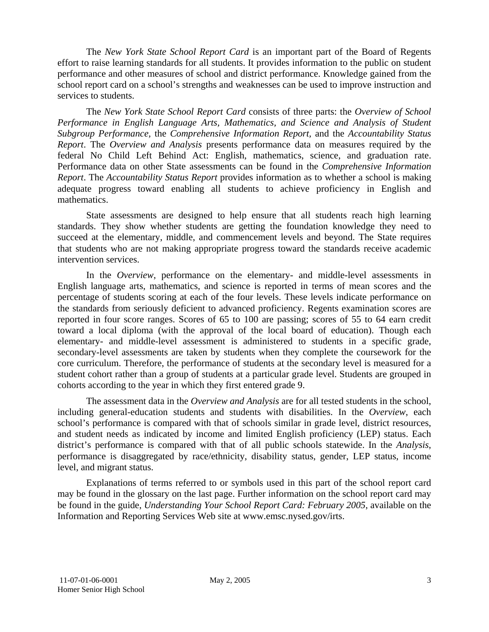The *New York State School Report Card* is an important part of the Board of Regents effort to raise learning standards for all students. It provides information to the public on student performance and other measures of school and district performance. Knowledge gained from the school report card on a school's strengths and weaknesses can be used to improve instruction and services to students.

The *New York State School Report Card* consists of three parts: the *Overview of School Performance in English Language Arts, Mathematics, and Science and Analysis of Student Subgroup Performance,* the *Comprehensive Information Report,* and the *Accountability Status Report*. The *Overview and Analysis* presents performance data on measures required by the federal No Child Left Behind Act: English, mathematics, science, and graduation rate. Performance data on other State assessments can be found in the *Comprehensive Information Report*. The *Accountability Status Report* provides information as to whether a school is making adequate progress toward enabling all students to achieve proficiency in English and mathematics.

State assessments are designed to help ensure that all students reach high learning standards. They show whether students are getting the foundation knowledge they need to succeed at the elementary, middle, and commencement levels and beyond. The State requires that students who are not making appropriate progress toward the standards receive academic intervention services.

In the *Overview*, performance on the elementary- and middle-level assessments in English language arts, mathematics, and science is reported in terms of mean scores and the percentage of students scoring at each of the four levels. These levels indicate performance on the standards from seriously deficient to advanced proficiency. Regents examination scores are reported in four score ranges. Scores of 65 to 100 are passing; scores of 55 to 64 earn credit toward a local diploma (with the approval of the local board of education). Though each elementary- and middle-level assessment is administered to students in a specific grade, secondary-level assessments are taken by students when they complete the coursework for the core curriculum. Therefore, the performance of students at the secondary level is measured for a student cohort rather than a group of students at a particular grade level. Students are grouped in cohorts according to the year in which they first entered grade 9.

The assessment data in the *Overview and Analysis* are for all tested students in the school, including general-education students and students with disabilities. In the *Overview*, each school's performance is compared with that of schools similar in grade level, district resources, and student needs as indicated by income and limited English proficiency (LEP) status. Each district's performance is compared with that of all public schools statewide. In the *Analysis*, performance is disaggregated by race/ethnicity, disability status, gender, LEP status, income level, and migrant status.

Explanations of terms referred to or symbols used in this part of the school report card may be found in the glossary on the last page. Further information on the school report card may be found in the guide, *Understanding Your School Report Card: February 2005*, available on the Information and Reporting Services Web site at www.emsc.nysed.gov/irts.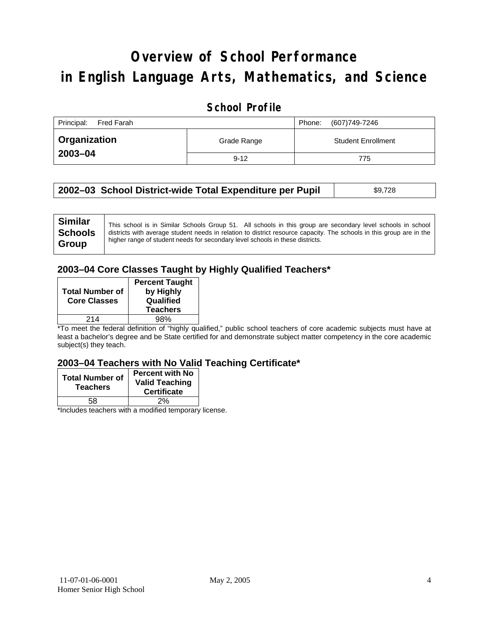# **Overview of School Performance in English Language Arts, Mathematics, and Science**

### **School Profile**

| Principal:<br>Fred Farah | Phone:      | (607)749-7246 |                           |
|--------------------------|-------------|---------------|---------------------------|
| <b>Organization</b>      | Grade Range |               | <b>Student Enrollment</b> |
| 2003-04                  | $9 - 12$    |               | 775                       |

| 2002–03 School District-wide Total Expenditure per Pupil<br>\$9,728 |  |
|---------------------------------------------------------------------|--|
|---------------------------------------------------------------------|--|

### **2003–04 Core Classes Taught by Highly Qualified Teachers\***

| <b>Total Number of</b><br><b>Core Classes</b> | <b>Percent Taught</b><br>by Highly<br>Qualified<br><b>Teachers</b> |
|-----------------------------------------------|--------------------------------------------------------------------|
| 214                                           | 98%                                                                |

\*To meet the federal definition of "highly qualified," public school teachers of core academic subjects must have at least a bachelor's degree and be State certified for and demonstrate subject matter competency in the core academic subject(s) they teach.

#### **2003–04 Teachers with No Valid Teaching Certificate\***

| <b>Total Number of</b><br><b>Teachers</b> | <b>Percent with No</b><br><b>Valid Teaching</b><br><b>Certificate</b> |
|-------------------------------------------|-----------------------------------------------------------------------|
| 58                                        | 2%                                                                    |
| $\mathbf{A}$<br>$\cdots$                  |                                                                       |

\*Includes teachers with a modified temporary license.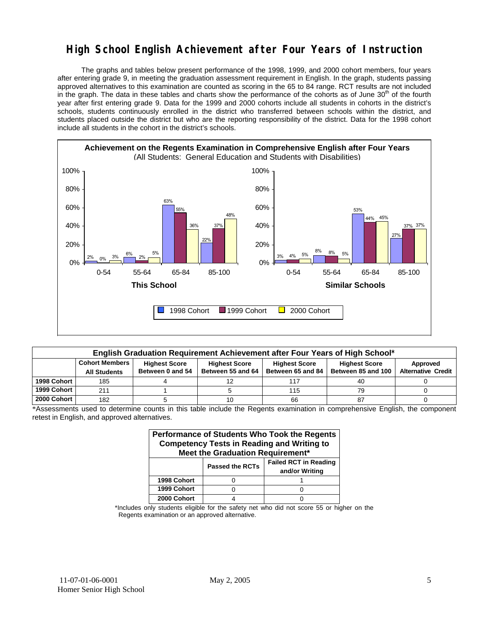### **High School English Achievement after Four Years of Instruction**

 The graphs and tables below present performance of the 1998, 1999, and 2000 cohort members, four years after entering grade 9, in meeting the graduation assessment requirement in English. In the graph, students passing approved alternatives to this examination are counted as scoring in the 65 to 84 range. RCT results are not included in the graph. The data in these tables and charts show the performance of the cohorts as of June  $30<sup>th</sup>$  of the fourth year after first entering grade 9. Data for the 1999 and 2000 cohorts include all students in cohorts in the district's schools, students continuously enrolled in the district who transferred between schools within the district, and students placed outside the district but who are the reporting responsibility of the district. Data for the 1998 cohort include all students in the cohort in the district's schools.



| English Graduation Requirement Achievement after Four Years of High School* |                                                                                                                                   |                  |                   |                   |                    |                           |  |  |  |
|-----------------------------------------------------------------------------|-----------------------------------------------------------------------------------------------------------------------------------|------------------|-------------------|-------------------|--------------------|---------------------------|--|--|--|
|                                                                             | <b>Cohort Members</b><br><b>Highest Score</b><br><b>Highest Score</b><br><b>Highest Score</b><br><b>Highest Score</b><br>Approved |                  |                   |                   |                    |                           |  |  |  |
|                                                                             | <b>All Students</b>                                                                                                               | Between 0 and 54 | Between 55 and 64 | Between 65 and 84 | Between 85 and 100 | <b>Alternative Credit</b> |  |  |  |
| 1998 Cohort                                                                 | 185                                                                                                                               |                  |                   | 117               | 40                 |                           |  |  |  |
| 1999 Cohort                                                                 | 211                                                                                                                               |                  |                   | 115               | 79                 |                           |  |  |  |
| 2000 Cohort                                                                 | 182                                                                                                                               |                  |                   | 66                | 87                 |                           |  |  |  |

\*Assessments used to determine counts in this table include the Regents examination in comprehensive English, the component retest in English, and approved alternatives.

| Performance of Students Who Took the Regents<br><b>Competency Tests in Reading and Writing to</b><br>Meet the Graduation Requirement* |                                                                          |  |  |  |  |  |  |
|---------------------------------------------------------------------------------------------------------------------------------------|--------------------------------------------------------------------------|--|--|--|--|--|--|
|                                                                                                                                       | <b>Failed RCT in Reading</b><br><b>Passed the RCTs</b><br>and/or Writing |  |  |  |  |  |  |
| 1998 Cohort                                                                                                                           |                                                                          |  |  |  |  |  |  |
| 1999 Cohort                                                                                                                           |                                                                          |  |  |  |  |  |  |
| 2000 Cohort                                                                                                                           |                                                                          |  |  |  |  |  |  |

\*Includes only students eligible for the safety net who did not score 55 or higher on the Regents examination or an approved alternative.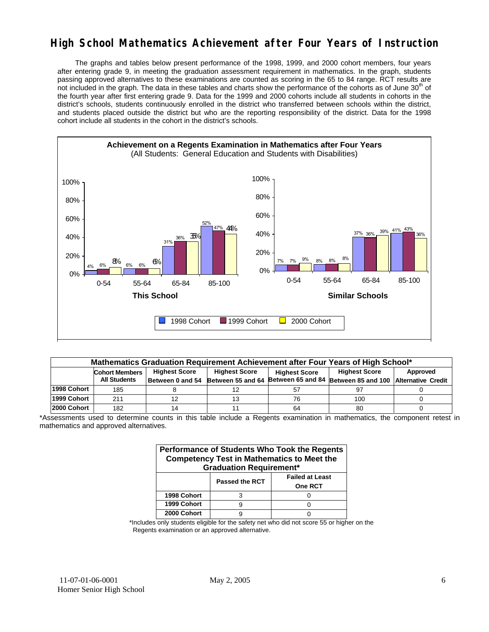### **High School Mathematics Achievement after Four Years of Instruction**

 The graphs and tables below present performance of the 1998, 1999, and 2000 cohort members, four years after entering grade 9, in meeting the graduation assessment requirement in mathematics. In the graph, students passing approved alternatives to these examinations are counted as scoring in the 65 to 84 range. RCT results are not included in the graph. The data in these tables and charts show the performance of the cohorts as of June 30<sup>th</sup> of the fourth year after first entering grade 9. Data for the 1999 and 2000 cohorts include all students in cohorts in the district's schools, students continuously enrolled in the district who transferred between schools within the district, and students placed outside the district but who are the reporting responsibility of the district. Data for the 1998 cohort include all students in the cohort in the district's schools.



|             | Mathematics Graduation Requirement Achievement after Four Years of High School*                                                   |  |  |    |                                                                                            |  |  |  |  |
|-------------|-----------------------------------------------------------------------------------------------------------------------------------|--|--|----|--------------------------------------------------------------------------------------------|--|--|--|--|
|             | <b>Highest Score</b><br><b>Highest Score</b><br><b>Highest Score</b><br>Approved<br><b>Cohort Members</b><br><b>Highest Score</b> |  |  |    |                                                                                            |  |  |  |  |
|             | <b>All Students</b>                                                                                                               |  |  |    | Between 0 and 54 Between 55 and 64 Between 65 and 84 Between 85 and 100 Alternative Credit |  |  |  |  |
| 1998 Cohort | 185                                                                                                                               |  |  | 57 |                                                                                            |  |  |  |  |
| 1999 Cohort | 211                                                                                                                               |  |  | 76 | 100                                                                                        |  |  |  |  |
| 2000 Cohort | 182                                                                                                                               |  |  | 64 | 80                                                                                         |  |  |  |  |

\*Assessments used to determine counts in this table include a Regents examination in mathematics, the component retest in mathematics and approved alternatives.

| <b>Performance of Students Who Took the Regents</b><br><b>Competency Test in Mathematics to Meet the</b><br><b>Graduation Requirement*</b> |                       |                                          |  |  |  |  |  |
|--------------------------------------------------------------------------------------------------------------------------------------------|-----------------------|------------------------------------------|--|--|--|--|--|
|                                                                                                                                            | <b>Passed the RCT</b> | <b>Failed at Least</b><br><b>One RCT</b> |  |  |  |  |  |
| 1998 Cohort                                                                                                                                |                       |                                          |  |  |  |  |  |
| 1999 Cohort                                                                                                                                |                       |                                          |  |  |  |  |  |
| 2000 Cohort                                                                                                                                |                       |                                          |  |  |  |  |  |

\*Includes only students eligible for the safety net who did not score 55 or higher on the Regents examination or an approved alternative.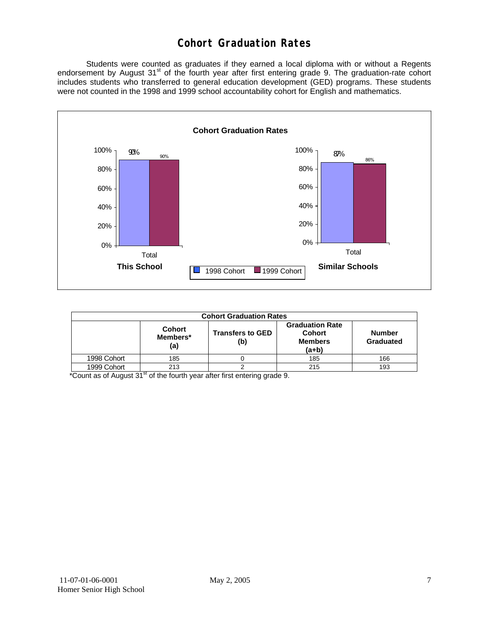### **Cohort Graduation Rates**

 Students were counted as graduates if they earned a local diploma with or without a Regents endorsement by August 31<sup>st</sup> of the fourth year after first entering grade 9. The graduation-rate cohort includes students who transferred to general education development (GED) programs. These students were not counted in the 1998 and 1999 school accountability cohort for English and mathematics.



| <b>Cohort Graduation Rates</b> |                                  |                                |                                                                      |                            |  |  |  |
|--------------------------------|----------------------------------|--------------------------------|----------------------------------------------------------------------|----------------------------|--|--|--|
|                                | <b>Cohort</b><br>Members*<br>(a) | <b>Transfers to GED</b><br>(b) | <b>Graduation Rate</b><br><b>Cohort</b><br><b>Members</b><br>$(a+b)$ | <b>Number</b><br>Graduated |  |  |  |
| 1998 Cohort                    | 185                              |                                | 185                                                                  | 166                        |  |  |  |
| 1999 Cohort                    | 213                              |                                | 215                                                                  | 193                        |  |  |  |

 $*$ Count as of August  $31<sup>st</sup>$  of the fourth year after first entering grade 9.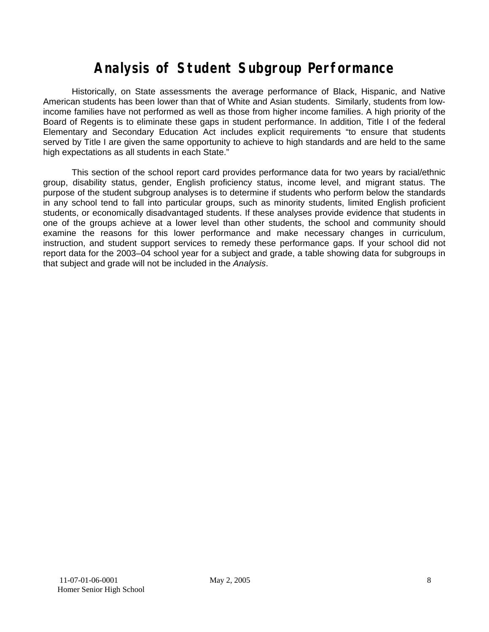# **Analysis of Student Subgroup Performance**

Historically, on State assessments the average performance of Black, Hispanic, and Native American students has been lower than that of White and Asian students. Similarly, students from lowincome families have not performed as well as those from higher income families. A high priority of the Board of Regents is to eliminate these gaps in student performance. In addition, Title I of the federal Elementary and Secondary Education Act includes explicit requirements "to ensure that students served by Title I are given the same opportunity to achieve to high standards and are held to the same high expectations as all students in each State."

This section of the school report card provides performance data for two years by racial/ethnic group, disability status, gender, English proficiency status, income level, and migrant status. The purpose of the student subgroup analyses is to determine if students who perform below the standards in any school tend to fall into particular groups, such as minority students, limited English proficient students, or economically disadvantaged students. If these analyses provide evidence that students in one of the groups achieve at a lower level than other students, the school and community should examine the reasons for this lower performance and make necessary changes in curriculum, instruction, and student support services to remedy these performance gaps. If your school did not report data for the 2003–04 school year for a subject and grade, a table showing data for subgroups in that subject and grade will not be included in the *Analysis*.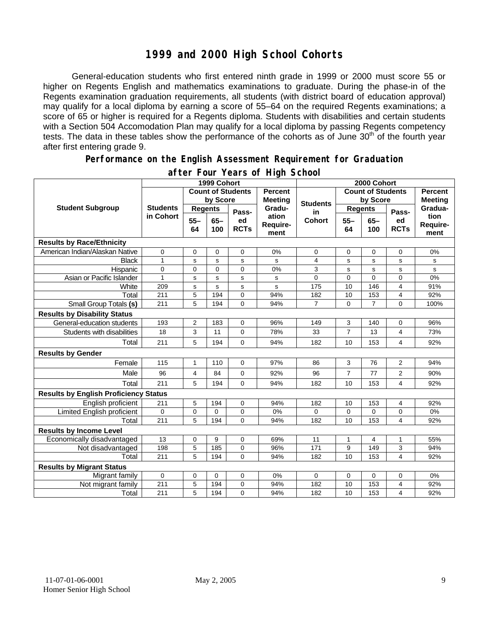### **1999 and 2000 High School Cohorts**

General-education students who first entered ninth grade in 1999 or 2000 must score 55 or higher on Regents English and mathematics examinations to graduate. During the phase-in of the Regents examination graduation requirements, all students (with district board of education approval) may qualify for a local diploma by earning a score of 55–64 on the required Regents examinations; a score of 65 or higher is required for a Regents diploma. Students with disabilities and certain students with a Section 504 Accomodation Plan may qualify for a local diploma by passing Regents competency tests. The data in these tables show the performance of the cohorts as of June  $30<sup>th</sup>$  of the fourth year after first entering grade 9.

#### **Performance on the English Assessment Requirement for Graduation**

|                                              |                 | 1999 Cohort    |               |                          |                           | 2000 Cohort              |                |                |                   |                          |
|----------------------------------------------|-----------------|----------------|---------------|--------------------------|---------------------------|--------------------------|----------------|----------------|-------------------|--------------------------|
|                                              |                 |                |               | <b>Count of Students</b> | <b>Percent</b>            | <b>Count of Students</b> |                |                | <b>Percent</b>    |                          |
|                                              |                 | by Score       |               | <b>Meeting</b>           | <b>Students</b>           | by Score                 |                | <b>Meeting</b> |                   |                          |
| <b>Student Subgroup</b>                      | <b>Students</b> | <b>Regents</b> |               | Pass-                    | Gradu-                    | in                       | <b>Regents</b> |                | Pass-             | Gradua-                  |
|                                              | in Cohort       | $55 -$<br>64   | $65 -$<br>100 | ed<br><b>RCTs</b>        | ation<br>Require-<br>ment | <b>Cohort</b>            | $55 -$<br>64   | $65 -$<br>100  | ed<br><b>RCTs</b> | tion<br>Require-<br>ment |
| <b>Results by Race/Ethnicity</b>             |                 |                |               |                          |                           |                          |                |                |                   |                          |
| American Indian/Alaskan Native               | 0               | $\mathbf 0$    | 0             | 0                        | 0%                        | 0                        | 0              | $\mathbf 0$    | $\mathbf 0$       | 0%                       |
| <b>Black</b>                                 | $\overline{1}$  | s              | $\mathbf s$   | s                        | s                         | 4                        | s              | s              | s                 | s                        |
| Hispanic                                     | $\mathbf 0$     | $\overline{0}$ | $\Omega$      | $\overline{0}$           | 0%                        | 3                        | s              | s              | s                 | s                        |
| Asian or Pacific Islander                    | $\mathbf{1}$    | s              | $\mathbf s$   | s                        | s                         | 0                        | 0              | $\overline{0}$ | 0                 | 0%                       |
| White                                        | 209             | s              | $\mathbf s$   | s                        | s                         | 175                      | 10             | 146            | 4                 | 91%                      |
| Total                                        | 211             | 5              | 194           | 0                        | 94%                       | 182                      | 10             | 153            | 4                 | 92%                      |
| Small Group Totals (s)                       | 211             | 5              | 194           | $\Omega$                 | 94%                       | 7                        | $\Omega$       | $\overline{7}$ | $\overline{0}$    | 100%                     |
| <b>Results by Disability Status</b>          |                 |                |               |                          |                           |                          |                |                |                   |                          |
| General-education students                   | 193             | $\overline{2}$ | 183           | 0                        | 96%                       | 149                      | 3              | 140            | 0                 | 96%                      |
| Students with disabilities                   | 18              | 3              | 11            | 0                        | 78%                       | 33                       | $\overline{7}$ | 13             | 4                 | 73%                      |
| Total                                        | 211             | 5              | 194           | $\mathbf 0$              | 94%                       | 182                      | 10             | 153            | 4                 | 92%                      |
| <b>Results by Gender</b>                     |                 |                |               |                          |                           |                          |                |                |                   |                          |
| Female                                       | 115             | $\mathbf{1}$   | 110           | 0                        | 97%                       | 86                       | 3              | 76             | $\overline{2}$    | 94%                      |
| Male                                         | 96              | 4              | 84            | $\Omega$                 | 92%                       | 96                       | $\overline{7}$ | 77             | 2                 | 90%                      |
| Total                                        | 211             | 5              | 194           | $\Omega$                 | 94%                       | 182                      | 10             | 153            | 4                 | 92%                      |
| <b>Results by English Proficiency Status</b> |                 |                |               |                          |                           |                          |                |                |                   |                          |
| English proficient                           | 211             | 5              | 194           | 0                        | 94%                       | 182                      | 10             | 153            | 4                 | 92%                      |
| Limited English proficient                   | 0               | 0              | 0             | 0                        | 0%                        | 0                        | 0              | 0              | 0                 | 0%                       |
| Total                                        | 211             | 5              | 194           | $\Omega$                 | 94%                       | 182                      | 10             | 153            | 4                 | 92%                      |
| <b>Results by Income Level</b>               |                 |                |               |                          |                           |                          |                |                |                   |                          |
| Economically disadvantaged                   | 13              | 0              | 9             | 0                        | 69%                       | 11                       | $\mathbf{1}$   | $\overline{4}$ | $\mathbf{1}$      | 55%                      |
| Not disadvantaged                            | 198             | 5              | 185           | 0                        | 96%                       | 171                      | 9              | 149            | 3                 | 94%                      |
| Total                                        | 211             | 5              | 194           | $\Omega$                 | 94%                       | 182                      | 10             | 153            | 4                 | 92%                      |
| <b>Results by Migrant Status</b>             |                 |                |               |                          |                           |                          |                |                |                   |                          |
| Migrant family                               | 0               | 0              | 0             | 0                        | 0%                        | 0                        | 0              | 0              | 0                 | 0%                       |
| Not migrant family                           | 211             | 5              | 194           | 0                        | 94%                       | 182                      | 10             | 153            | 4                 | 92%                      |
| Total                                        | 211             | 5              | 194           | $\Omega$                 | 94%                       | 182                      | 10             | 153            | 4                 | 92%                      |

### **after Four Years of High School**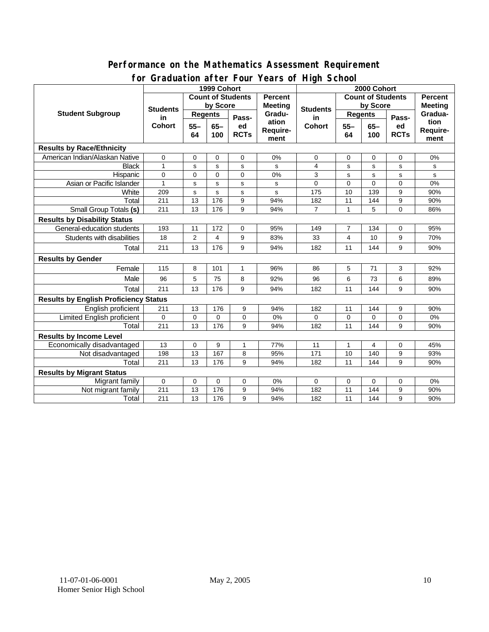#### **Performance on the Mathematics Assessment Requirement for Graduation after Four Years of High School**

|                                              | ordduatholl artor roar roars o'r rhyn Sonool<br>1999 Cohort |                                     |             |                          |                                            | 2000 Cohort     |              |                |             |              |  |
|----------------------------------------------|-------------------------------------------------------------|-------------------------------------|-------------|--------------------------|--------------------------------------------|-----------------|--------------|----------------|-------------|--------------|--|
|                                              |                                                             | <b>Count of Students</b><br>Percent |             |                          | <b>Count of Students</b><br><b>Percent</b> |                 |              |                |             |              |  |
| <b>Student Subgroup</b>                      | <b>Students</b><br>in<br><b>Cohort</b>                      | by Score                            |             | <b>Meeting</b><br>Gradu- | <b>Students</b>                            | by Score        |              | <b>Meeting</b> |             |              |  |
|                                              |                                                             | <b>Regents</b>                      |             |                          |                                            | <b>Regents</b>  |              |                | Gradua-     |              |  |
|                                              |                                                             | $55 -$<br>$65 -$                    | Pass-<br>ed | ation                    | in<br><b>Cohort</b>                        | $55 -$<br>$65-$ | Pass-<br>ed  | tion           |             |              |  |
|                                              |                                                             | 64                                  | 100         | <b>RCTs</b>              | <b>Require-</b>                            |                 | 64           | 100            | <b>RCTs</b> | Require-     |  |
|                                              |                                                             |                                     |             |                          | ment                                       |                 |              |                |             | ment         |  |
| <b>Results by Race/Ethnicity</b>             |                                                             |                                     |             |                          |                                            |                 |              |                |             |              |  |
| American Indian/Alaskan Native               | $\mathbf 0$                                                 | 0                                   | 0           | $\Omega$                 | 0%                                         | 0               | 0            | 0              | $\Omega$    | 0%           |  |
| <b>Black</b>                                 | 1                                                           | s                                   | s           | s                        | s                                          | 4               | s            | s              | s           | s            |  |
| Hispanic                                     | $\Omega$                                                    | 0                                   | $\Omega$    | $\Omega$                 | 0%                                         | 3               | s            | $\mathbf s$    | s           | $\mathbf{s}$ |  |
| Asian or Pacific Islander                    | 1                                                           | s                                   | s           | $\mathbf s$              | s                                          | 0               | $\Omega$     | $\Omega$       | $\Omega$    | 0%           |  |
| White                                        | 209                                                         | s                                   | s           | $\mathbf s$              | s                                          | 175             | 10           | 139            | 9           | 90%          |  |
| Total                                        | 211                                                         | 13                                  | 176         | 9                        | 94%                                        | 182             | 11           | 144            | 9           | 90%          |  |
| Small Group Totals (s)                       | 211                                                         | 13                                  | 176         | 9                        | 94%                                        | $\overline{7}$  | $\mathbf{1}$ | 5              | 0           | 86%          |  |
| <b>Results by Disability Status</b>          |                                                             |                                     |             |                          |                                            |                 |              |                |             |              |  |
| General-education students                   | 193                                                         | 11                                  | 172         | 0                        | 95%                                        | 149             | 7            | 134            | 0           | 95%          |  |
| Students with disabilities                   | 18                                                          | $\overline{2}$                      | 4           | 9                        | 83%                                        | 33              | 4            | 10             | 9           | 70%          |  |
| Total                                        | 211                                                         | 13                                  | 176         | 9                        | 94%                                        | 182             | 11           | 144            | 9           | 90%          |  |
| <b>Results by Gender</b>                     |                                                             |                                     |             |                          |                                            |                 |              |                |             |              |  |
| Female                                       | 115                                                         | 8                                   | 101         | $\mathbf{1}$             | 96%                                        | 86              | 5            | 71             | 3           | 92%          |  |
| Male                                         | 96                                                          | 5                                   | 75          | 8                        | 92%                                        | 96              | 6            | 73             | 6           | 89%          |  |
| Total                                        | 211                                                         | 13                                  | 176         | 9                        | 94%                                        | 182             | 11           | 144            | 9           | 90%          |  |
| <b>Results by English Proficiency Status</b> |                                                             |                                     |             |                          |                                            |                 |              |                |             |              |  |
| English proficient                           | 211                                                         | 13                                  | 176         | 9                        | 94%                                        | 182             | 11           | 144            | 9           | 90%          |  |
| Limited English proficient                   | $\Omega$                                                    | $\mathbf 0$                         | $\Omega$    | 0                        | 0%                                         | 0               | $\mathbf 0$  | $\Omega$       | 0           | 0%           |  |
| Total                                        | 211                                                         | 13                                  | 176         | 9                        | 94%                                        | 182             | 11           | 144            | 9           | 90%          |  |
| <b>Results by Income Level</b>               |                                                             |                                     |             |                          |                                            |                 |              |                |             |              |  |
| Economically disadvantaged                   | 13                                                          | $\pmb{0}$                           | 9           | 1                        | 77%                                        | 11              | $\mathbf{1}$ | $\overline{4}$ | 0           | 45%          |  |
| Not disadvantaged                            | 198                                                         | 13                                  | 167         | 8                        | 95%                                        | 171             | 10           | 140            | 9           | 93%          |  |
| Total                                        | 211                                                         | 13                                  | 176         | 9                        | 94%                                        | 182             | 11           | 144            | 9           | 90%          |  |
| <b>Results by Migrant Status</b>             |                                                             |                                     |             |                          |                                            |                 |              |                |             |              |  |
| Migrant family                               | $\mathbf 0$                                                 | 0                                   | 0           | 0                        | 0%                                         | 0               | 0            | 0              | 0           | 0%           |  |
| Not migrant family                           | 211                                                         | 13                                  | 176         | 9                        | 94%                                        | 182             | 11           | 144            | 9           | 90%          |  |
| Total                                        | 211                                                         | 13                                  | 176         | 9                        | 94%                                        | 182             | 11           | 144            | 9           | 90%          |  |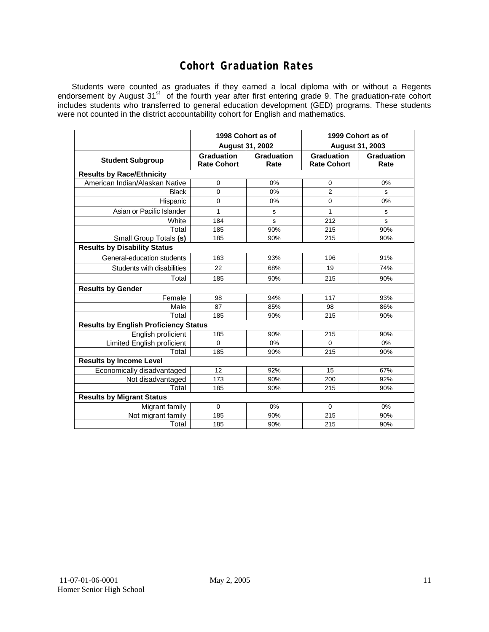### **Cohort Graduation Rates**

Students were counted as graduates if they earned a local diploma with or without a Regents endorsement by August 31<sup>st</sup> of the fourth year after first entering grade 9. The graduation-rate cohort includes students who transferred to general education development (GED) programs. These students were not counted in the district accountability cohort for English and mathematics.

|                                              | 1998 Cohort as of                |                    | 1999 Cohort as of                       |                    |  |  |  |  |  |
|----------------------------------------------|----------------------------------|--------------------|-----------------------------------------|--------------------|--|--|--|--|--|
|                                              | <b>August 31, 2002</b>           |                    | August 31, 2003                         |                    |  |  |  |  |  |
| <b>Student Subgroup</b>                      | Graduation<br><b>Rate Cohort</b> | Graduation<br>Rate | <b>Graduation</b><br><b>Rate Cohort</b> | Graduation<br>Rate |  |  |  |  |  |
| <b>Results by Race/Ethnicity</b>             |                                  |                    |                                         |                    |  |  |  |  |  |
| American Indian/Alaskan Native               | 0                                | 0%                 | 0                                       | 0%                 |  |  |  |  |  |
| <b>Black</b>                                 | 0                                | 0%                 | $\overline{2}$                          | s                  |  |  |  |  |  |
| Hispanic                                     | $\mathbf 0$                      | 0%                 | 0                                       | $0\%$              |  |  |  |  |  |
| Asian or Pacific Islander                    | 1                                | $\mathbf s$        | 1                                       | s                  |  |  |  |  |  |
| White                                        | 184                              | s                  | 212                                     | s                  |  |  |  |  |  |
| Total                                        | 185                              | 90%                | 215                                     | 90%                |  |  |  |  |  |
| Small Group Totals (s)                       | 185                              | 90%                | 215                                     | 90%                |  |  |  |  |  |
| <b>Results by Disability Status</b>          |                                  |                    |                                         |                    |  |  |  |  |  |
| General-education students                   | 163                              | 93%                | 196                                     | 91%                |  |  |  |  |  |
| Students with disabilities                   | 22                               | 68%                | 19                                      | 74%                |  |  |  |  |  |
| Total                                        | 185                              | 90%                | 215                                     | 90%                |  |  |  |  |  |
| <b>Results by Gender</b>                     |                                  |                    |                                         |                    |  |  |  |  |  |
| Female                                       | 98                               | 94%                | 117                                     | 93%                |  |  |  |  |  |
| Male                                         | 87                               | 85%                | 98                                      | 86%                |  |  |  |  |  |
| Total                                        | 185                              | 90%                | 215                                     | 90%                |  |  |  |  |  |
| <b>Results by English Proficiency Status</b> |                                  |                    |                                         |                    |  |  |  |  |  |
| English proficient                           | 185                              | 90%                | 215                                     | 90%                |  |  |  |  |  |
| <b>Limited English proficient</b>            | $\mathbf 0$                      | 0%                 | 0                                       | 0%                 |  |  |  |  |  |
| Total                                        | 185                              | 90%                | 215                                     | 90%                |  |  |  |  |  |
| <b>Results by Income Level</b>               |                                  |                    |                                         |                    |  |  |  |  |  |
| Economically disadvantaged                   | 12                               | 92%                | 15                                      | 67%                |  |  |  |  |  |
| Not disadvantaged                            | 173                              | 90%                | 200                                     | 92%                |  |  |  |  |  |
| Total                                        | 185                              | 90%                | 215                                     | 90%                |  |  |  |  |  |
| <b>Results by Migrant Status</b>             |                                  |                    |                                         |                    |  |  |  |  |  |
| Migrant family                               | $\Omega$                         | 0%                 | $\Omega$                                | 0%                 |  |  |  |  |  |
| Not migrant family                           | 185                              | 90%                | 215                                     | 90%                |  |  |  |  |  |
| Total                                        | 185                              | 90%                | 215                                     | 90%                |  |  |  |  |  |